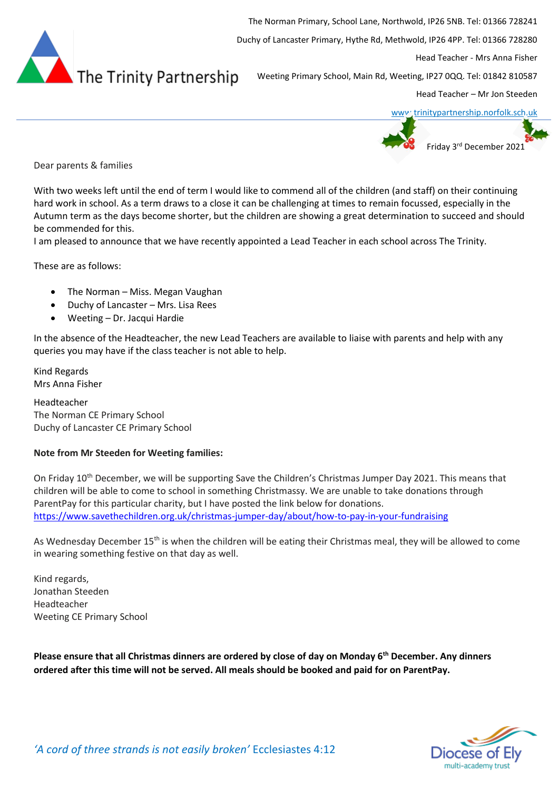

The Norman Primary, School Lane, Northwold, IP26 5NB. Tel: 01366 728241 Duchy of Lancaster Primary, Hythe Rd, Methwold, IP26 4PP. Tel: 01366 728280 Head Teacher - Mrs Anna Fisher Weeting Primary School, Main Rd, Weeting, IP27 0QQ. Tel: 01842 810587 Head Teacher – Mr Jon Steeden





Dear parents & families

With two weeks left until the end of term I would like to commend all of the children (and staff) on their continuing hard work in school. As a term draws to a close it can be challenging at times to remain focussed, especially in the Autumn term as the days become shorter, but the children are showing a great determination to succeed and should be commended for this.

I am pleased to announce that we have recently appointed a Lead Teacher in each school across The Trinity.

These are as follows:

- The Norman Miss. Megan Vaughan
- Duchy of Lancaster Mrs. Lisa Rees
- Weeting Dr. Jacqui Hardie

In the absence of the Headteacher, the new Lead Teachers are available to liaise with parents and help with any queries you may have if the class teacher is not able to help.

Kind Regards Mrs Anna Fisher

Headteacher The Norman CE Primary School Duchy of Lancaster CE Primary School

## **Note from Mr Steeden for Weeting families:**

On Friday 10th December, we will be supporting Save the Children's Christmas Jumper Day 2021. This means that children will be able to come to school in something Christmassy. We are unable to take donations through ParentPay for this particular charity, but I have posted the link below for donations. <https://www.savethechildren.org.uk/christmas-jumper-day/about/how-to-pay-in-your-fundraising>

As Wednesday December 15<sup>th</sup> is when the children will be eating their Christmas meal, they will be allowed to come in wearing something festive on that day as well.

Kind regards, Jonathan Steeden Headteacher Weeting CE Primary School

**Please ensure that all Christmas dinners are ordered by close of day on Monday 6th December. Any dinners ordered after this time will not be served. All meals should be booked and paid for on ParentPay.**

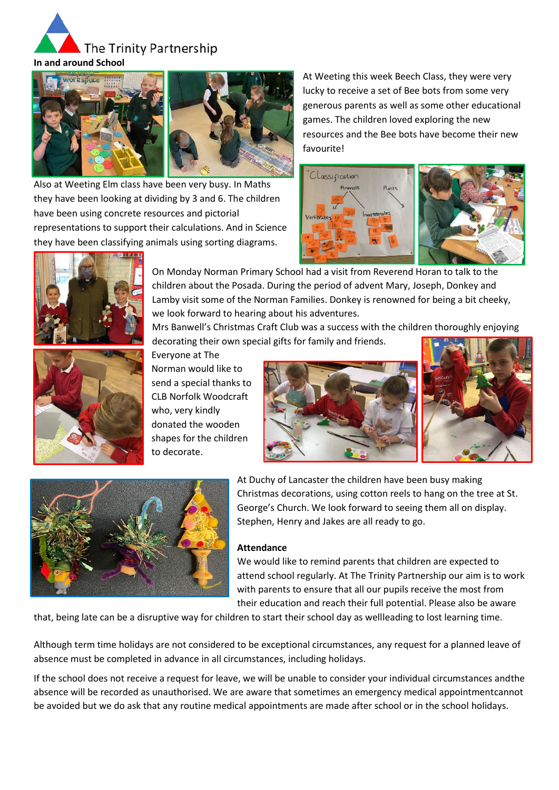



Also at Weeting Elm class have been very busy. In Maths they have been looking at dividing by 3 and 6. The children have been using concrete resources and pictorial representations to support their calculations. And in Science they have been classifying animals using sorting diagrams.

At Weeting this week Beech Class, they were very lucky to receive a set of Bee bots from some very generous parents as well as some other educational games. The children loved exploring the new resources and the Bee bots have become their new favourite!





On Monday Norman Primary School had a visit from Reverend Horan to talk to the children about the Posada. During the period of advent Mary, Joseph, Donkey and Lamby visit some of the Norman Families. Donkey is renowned for being a bit cheeky, we look forward to hearing about his adventures.

Mrs Banwell's Christmas Craft Club was a success with the children thoroughly enjoying decorating their own special gifts for family and friends.



Everyone at The Norman would like to send a special thanks to CLB Norfolk Woodcraft who, very kindly donated the wooden shapes for the children to decorate.







At Duchy of Lancaster the children have been busy making Christmas decorations, using cotton reels to hang on the tree at St. George's Church. We look forward to seeing them all on display. Stephen, Henry and Jakes are all ready to go.

#### **Attendance**

We would like to remind parents that children are expected to attend school regularly. At The Trinity Partnership our aim is to work with parents to ensure that all our pupils receive the most from their education and reach their full potential. Please also be aware

that, being late can be a disruptive way for children to start their school day as wellleading to lost learning time.

Although term time holidays are not considered to be exceptional circumstances, any request for a planned leave of absence must be completed in advance in all circumstances, including holidays.

If the school does not receive a request for leave, we will be unable to consider your individual circumstances andthe absence will be recorded as unauthorised. We are aware that sometimes an emergency medical appointmentcannot be avoided but we do ask that any routine medical appointments are made after school or in the school holidays.